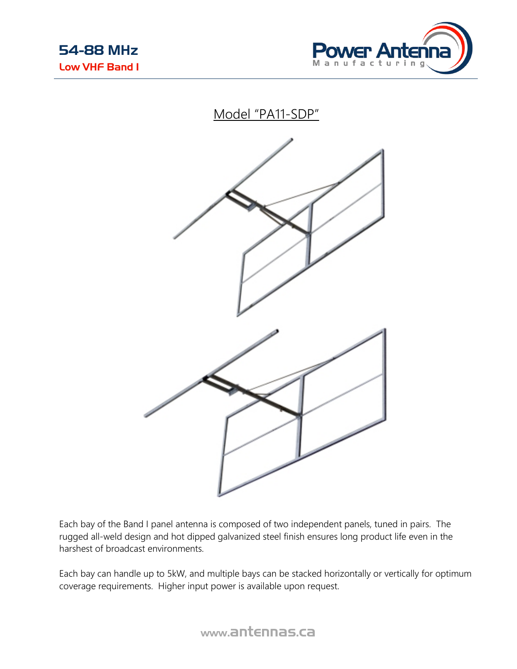





Each bay of the Band I panel antenna is composed of two independent panels, tuned in pairs. The rugged all-weld design and hot dipped galvanized steel finish ensures long product life even in the harshest of broadcast environments.

Each bay can handle up to 5kW, and multiple bays can be stacked horizontally or vertically for optimum coverage requirements. Higher input power is available upon request.

www.antennas.ca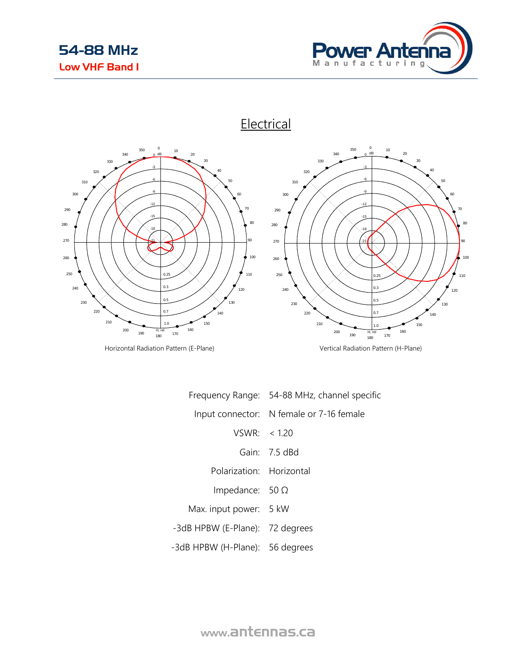



Horizontal Radiation Pattern (E-Plane) and South and South Vertical Radiation Pattern (H-Plane)

|                                 | Frequency Range: 54-88 MHz, channel specific |
|---------------------------------|----------------------------------------------|
|                                 | Input connector: N female or 7-16 female     |
| VSWR: < 120                     |                                              |
|                                 | Gain: 7.5 dBd                                |
| Polarization: Horizontal        |                                              |
| Impedance: $50 \Omega$          |                                              |
| Max. input power: 5 kW          |                                              |
| -3dB HPBW (E-Plane): 72 degrees |                                              |
| -3dB HPBW (H-Plane): 56 degrees |                                              |

www.antennas.ca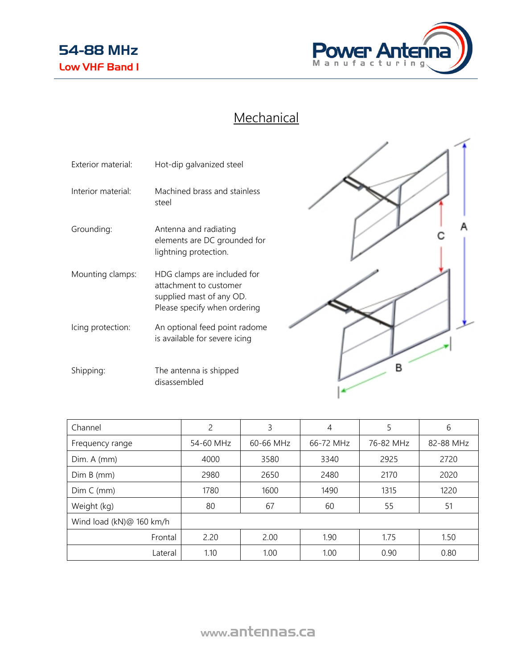

## **Mechanical**

| Exterior material: | Hot-dip galvanized steel                                                                                          |
|--------------------|-------------------------------------------------------------------------------------------------------------------|
| Interior material: | Machined brass and stainless<br>steel                                                                             |
| Grounding:         | Antenna and radiating<br>elements are DC grounded for<br>lightning protection.                                    |
| Mounting clamps:   | HDG clamps are included for<br>attachment to customer<br>supplied mast of any OD.<br>Please specify when ordering |
| Icing protection:  | An optional feed point radome<br>is available for severe icing                                                    |
| Shipping:          | The antenna is shipped<br>disassembled                                                                            |



| Channel                  | 2         | 3         | 4            | 5         | 6         |
|--------------------------|-----------|-----------|--------------|-----------|-----------|
| Frequency range          | 54-60 MHz | 60-66 MHz | 66-72 MHz    | 76-82 MHz | 82-88 MHz |
| Dim. A (mm)              | 4000      | 3580      | 2925<br>3340 |           | 2720      |
| Dim B (mm)               | 2980      | 2650      | 2480         | 2170      | 2020      |
| Dim C (mm)               | 1780      | 1600      | 1490         | 1315      | 1220      |
| Weight (kg)              | 80        | 67        | 60           | 55        | 51        |
| Wind load (kN)@ 160 km/h |           |           |              |           |           |
| Frontal                  | 2.20      | 2.00      | 1.90         | 1.75      | 1.50      |
| Lateral                  | 1.10      | 1.00      | 1.00         | 0.90      | 0.80      |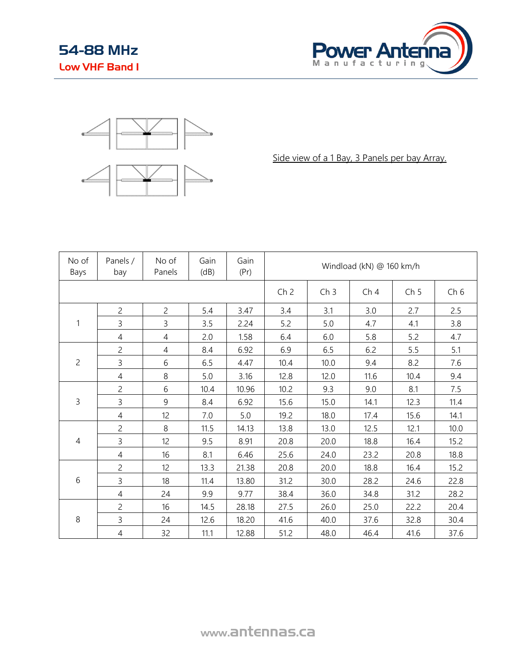



Side view of a 1 Bay, 3 Panels per bay Array.

| No of<br>Bays  | Panels /<br>bay | No of<br>Panels | Gain<br>(dB) | Gain<br>(Pr)    | Windload (kN) @ 160 km/h |                 |                 |                 |      |
|----------------|-----------------|-----------------|--------------|-----------------|--------------------------|-----------------|-----------------|-----------------|------|
|                |                 |                 |              | Ch <sub>2</sub> | Ch <sub>3</sub>          | Ch <sub>4</sub> | Ch <sub>5</sub> | Ch <sub>6</sub> |      |
|                | $\overline{c}$  | $\overline{c}$  | 5.4          | 3.47            | 3.4                      | 3.1             | 3.0             | 2.7             | 2.5  |
| 1              | $\overline{3}$  | 3               | 3.5          | 2.24            | 5.2                      | 5.0             | 4.7             | 4.1             | 3.8  |
|                | $\overline{4}$  | $\overline{4}$  | 2.0          | 1.58            | 6.4                      | 6.0             | 5.8             | 5.2             | 4.7  |
|                | $\overline{c}$  | $\overline{4}$  | 8.4          | 6.92            | 6.9                      | 6.5             | 6.2             | 5.5             | 5.1  |
| $\overline{c}$ | 3               | 6               | 6.5          | 4.47            | 10.4                     | 10.0            | 9.4             | 8.2             | 7.6  |
|                | $\overline{4}$  | 8               | 5.0          | 3.16            | 12.8                     | 12.0            | 11.6            | 10.4            | 9.4  |
|                | $\overline{c}$  | 6               | 10.4         | 10.96           | 10.2                     | 9.3             | 9.0             | 8.1             | 7.5  |
| 3              | 3               | 9               | 8.4          | 6.92            | 15.6                     | 15.0            | 14.1            | 12.3            | 11.4 |
|                | $\overline{4}$  | 12 <sup>°</sup> | 7.0          | 5.0             | 19.2                     | 18.0            | 17.4            | 15.6            | 14.1 |
|                | 2               | 8               | 11.5         | 14.13           | 13.8                     | 13.0            | 12.5            | 12.1            | 10.0 |
| $\overline{4}$ | 3               | 12              | 9.5          | 8.91            | 20.8                     | 20.0            | 18.8            | 16.4            | 15.2 |
|                | 4               | 16              | 8.1          | 6.46            | 25.6                     | 24.0            | 23.2            | 20.8            | 18.8 |
|                | $\overline{c}$  | 12              | 13.3         | 21.38           | 20.8                     | 20.0            | 18.8            | 16.4            | 15.2 |
| 6              | 3               | 18              | 11.4         | 13.80           | 31.2                     | 30.0            | 28.2            | 24.6            | 22.8 |
|                | $\overline{4}$  | 24              | 9.9          | 9.77            | 38.4                     | 36.0            | 34.8            | 31.2            | 28.2 |
|                | $\overline{c}$  | 16              | 14.5         | 28.18           | 27.5                     | 26.0            | 25.0            | 22.2            | 20.4 |
| $\,8\,$        | 3               | 24              | 12.6         | 18.20           | 41.6                     | 40.0            | 37.6            | 32.8            | 30.4 |
|                | $\overline{4}$  | 32              | 11.1         | 12.88           | 51.2                     | 48.0            | 46.4            | 41.6            | 37.6 |